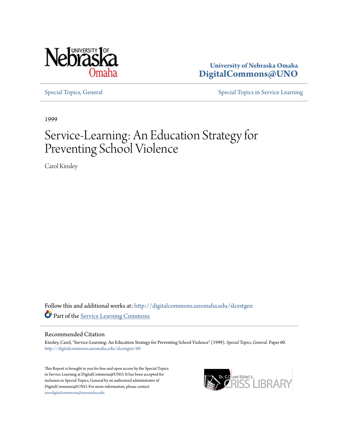

**University of Nebraska Omaha [DigitalCommons@UNO](http://digitalcommons.unomaha.edu?utm_source=digitalcommons.unomaha.edu%2Fslcestgen%2F60&utm_medium=PDF&utm_campaign=PDFCoverPages)**

[Special Topics, General](http://digitalcommons.unomaha.edu/slcestgen?utm_source=digitalcommons.unomaha.edu%2Fslcestgen%2F60&utm_medium=PDF&utm_campaign=PDFCoverPages) [Special Topics in Service Learning](http://digitalcommons.unomaha.edu/slcespecialtopics?utm_source=digitalcommons.unomaha.edu%2Fslcestgen%2F60&utm_medium=PDF&utm_campaign=PDFCoverPages)

1999

# Service-Learning: An Education Strategy for Preventing School Violence

Carol Kinsley

Follow this and additional works at: [http://digitalcommons.unomaha.edu/slcestgen](http://digitalcommons.unomaha.edu/slcestgen?utm_source=digitalcommons.unomaha.edu%2Fslcestgen%2F60&utm_medium=PDF&utm_campaign=PDFCoverPages) Part of the [Service Learning Commons](http://network.bepress.com/hgg/discipline/1024?utm_source=digitalcommons.unomaha.edu%2Fslcestgen%2F60&utm_medium=PDF&utm_campaign=PDFCoverPages)

### Recommended Citation

Kinsley, Carol, "Service-Learning: An Education Strategy for Preventing School Violence" (1999). *Special Topics, General.* Paper 60. [http://digitalcommons.unomaha.edu/slcestgen/60](http://digitalcommons.unomaha.edu/slcestgen/60?utm_source=digitalcommons.unomaha.edu%2Fslcestgen%2F60&utm_medium=PDF&utm_campaign=PDFCoverPages)

This Report is brought to you for free and open access by the Special Topics in Service Learning at DigitalCommons@UNO. It has been accepted for inclusion in Special Topics, General by an authorized administrator of DigitalCommons@UNO. For more information, please contact [unodigitalcommons@unomaha.edu](mailto:unodigitalcommons@unomaha.edu).

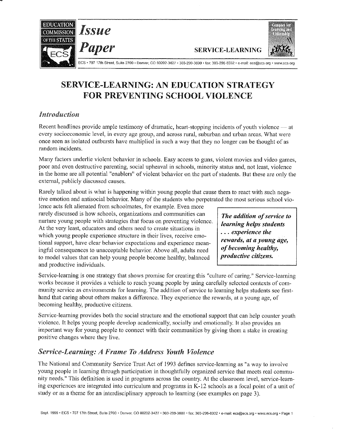



Paper SERVICE-LEARNING

ECS • 707 17th Street, Suite 2700 • Denver, CO 80202-3427 • 303-299-3600 • fax: 303-296-8332 • e-mail: ecs@ecs.org • www.ecs.org

# SERVICE-LEARNING: AN EDUCATION STRATEGY FOR PREVENTING SCHOOL VIOLENCE

## *Introduction*

Recent headlines provide ample testimony of dramatic, heart-stopping incidents of youth violence - at every socioeconomic level, in evety age group, and across rural, suburban and urban areas. What were once seen as isolated outbursts have multiplied in such a way that they no longer can be thought of as random incidents.

Many factors underlie violent behavior in schools. Easy access to guns, violent movies and video games, poor and even destructive parenting, social upheaval in schools, minority status and, not least, violence in the home arc all potential "enablers" of violent behavior on the part of students. But these are only the external, publicly discussed causes.

Rarely talked about is what is happening within young people that cause them to react with such negative emotion and antisocial behavior. Many of the students who perpetrated the most serious school vio-

lence acts felt alienated from schoolmates, for example. Even more rarely discussed is how schools, organizations and communities can nurture young people with strategies that focus on preventing violence. At the very least, educators and others need to create situations in which young people experience structure in their lives, receive emotional support, have clear behavior expectations and experience meaningful consequences to unacceptable behavior. Above all, adults need to model values that can help young people become healthy, balanced and productive individuals.

*The addition of service to learning helps students*  ... *experience the rewards, at a young age, of becoming healthy, productive citizens.* 

Service-learning is one strategy that shows promise for creating this "culture of caring." Service-learning works because it provides a vehicle to reach young people by using carefully selected contexts of community service as environments for learning. The addition of service to learning helps students see firsthand that caring about others makes a difference. They experience the rewards, at a young age, of becoming healthy, productive citizens.

Service-learning provides both the social structure and the emotional support that can help counter youth violence. It helps young people develop academically, socially and emotionally. It also provides an important way for young people to connect with their communities by giving them a stake in creating positive changes where they live.

# *Service-Learning: A Frame To Address Youth Violence*

The National and Community Service Trust Act of 1993 defines service-learning as "a way to involve young people in learning through participation in thoughtfully organized service that meets real community needs." This definition is used in programs across the country. At the classroom level, service-learning experiences are integrated into curriculum and programs in K-12 schools as a focal point of a unit of study or as a theme for an interdisciplinary approach to learning (see examples on page 3).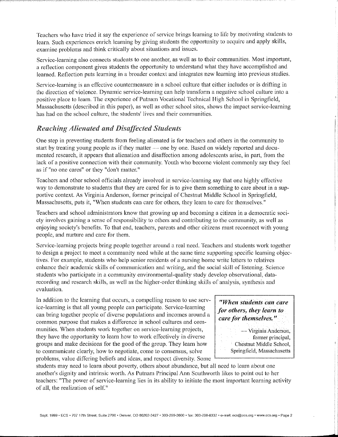Teachers who have tried it say the experience of service brings learning to life by motivating students to learn. Such experiences enrich learning by giving students the opportunity to acquire and apply skills, examine problems and think critically about situations and issues.

Service-learning also connects students to one another, as well as to their communities. Most important, a reflection component gives students the opportunity to understand what they have accomplished and learned. Reflection puts learning in a broader context and integrates new learning into previous studies.

Service-learning is an effective countermeasure in a school culture that either includes or is drifting in the direction of violence. Dynamic service-learning can help transform a negative school culture into a positive place to learn. The experience of Putnam Vocational Technical High School in Springfield, Massachusetts (described in this paper), as well as other school sites, shows the impact service-learning has had on the school culture, the students' lives and their communities.

### *Reaching Alienated ami Disa.flected Students*

One step in preventing students from feeling alienated is for teachers and others in the community to start by treating young people as if they matter — one by one. Based on widely reported and documented research, it appears that alienation and disaffection among adolescents arise, in part, from the lack of a positive connection with their community. Youth who become violent commonly say they feel as if "no one cares" or they "don't matter."

Teachers and other school officials already involved in service-learning say that one highly effective way to demonstrate to students that they are cared for is to give them something to care ahout in a supportive context. As Virginia Anderson, former principal of Chestnut Middle School in Springfield, Massachusetts, puts it, "When students can care for others, they learn to care for themselves."

Teachers and school administrators know that growing up and becoming a citizen in a democratic society involves gaining a sense of responsibility to others and contributing to the community, as well as enjoying society's benefits. To that end, teachers, parents and other citizens must reconnect with young people, and nurture and care for them.

Service-learning projects bring people together around a real need. Teachers and students work together to design a project to meet a community need while at the same time supporting specific learning objectives. For example, students who help senior residents of a nursing home write letters to relatives enhance their academic skills of communication and writing, and the social skill of listening. Science students who participate in a community environmental-quality study develop observational, datarecording and research skills, as well as the higher-order thinking skills of analysis, synthesis and evaluation.

In addition to the learning that occurs, a compelling reason to use service-learning is that all young people can participate. Service-learning can bring together people of diverse populations and incomes around a common purpose that makes a difference in school cultures and communities. When students work together on service-learning projects, they have the opportunity to learn how to work effectively in diverse groups and make decisions for the good of the group. They learn how to communicate clearly, how to negotiate, come to consensus, solve problems, value differing beliefs and ideas, and respect diversity. Some

*"When students can care for others, they team to care for themselves.* "

> -Virginia Anderson, former principal, Chestnut Middle School, Springfield, Massachusetts

students may need to learn about poverty, others about abundance, but all need to learn about one another's dignity and intrinsic worth. As Putnam Principal Ann Southworth likes to point out to her teachers: "The power of service-learning lies in its ability to initiate the most important learning activity of all, the realization of self."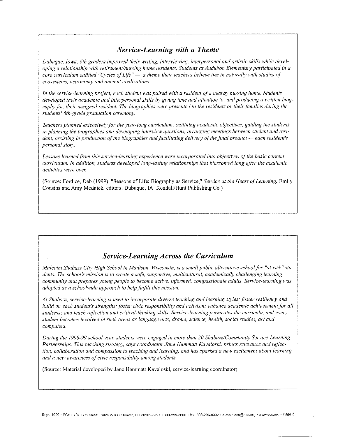# *Service-Learning with a Theme*

*Dubuque, Iowa, 6th graders improved their writing, interviewing, interpersonal and artistic skills while developing a relationship with retirement/nursing home residents. Students at Audubon Elementary participated in a*  $core$  curriculum entitled "Cycles of Life"  $-$  *a* theme their teachers believe ties in naturally with studies of *eco.\ystems, astronomy and ancient civilizations.* 

*In the service-learning project, each student was paired with a resident of a nearby nursing home. Students developed their academic and interpersonal skills by giving time and attention to, and producing a written biography for, their assigned resident. The biographies were presented to the residents or their families during the students' 6th-grade graduation ceremony.* 

*Teachers planned extensively for the year-long curriculum, outlining academic objectives, guiding the students in planning the biographies and developing interview questions, arranging meetings between student and resi*dent, assisting in production of the biographies and facilitating delivery of the final product — each resident's *personal story.* 

Lessons learned from this service-learning experience were incorporated into objectives of the basic content *curriculum. In addition, students developed long-lasting relationships that blossomed long after the academic activities were ovet:* 

(Source: Fordice, Deb (1999). "Seasons of Life: Biography as Service," *Service at the Heart of Learning*. Emily Cousins and Amy Mednick, editors. Dubuque, lA: Kendall/Hunt Publishing Co.)

# *Service-Learning Across the Curriculum*

*Malcolm Shabazz City High School in Madison, Wisconsin, is a small public alternative school for "at-risk" students. The school's mission is to create a safe, supportive, multicultural, academically challenging learning community that prepares young people to become active, informed, compassionate adults. Service-learning was adopted as a schoolwide approach to help fulfill this mission.* 

At Shabazz, service-learning is used to incorporate diverse teaching and learning styles; foster resiliency and *build on each student's strengths,· fOster civic responsibility and activism," enhance academic achievement for all students; and teach reflection and critical-thinking skills. Service-learning permeates the curricula, and every student becmnes involved in such areas as language arts, drama, science, health, social studies, art and computers.* 

*During the* 1998-99 *school yem; students were engaged in more than 20 Shabazz/Community Service-Learning Partnerships. This teaching strategy, says coordinator Jane flammatt Kavaloski, brings relevance and reflection, collaboration and compassion to teaching and learning, and has sparked a new excitement about learning and a new awareness of civic responsibility among students.* 

(Source: Material developed by Jane Hammatt Kavaloski, service-learning coordinator)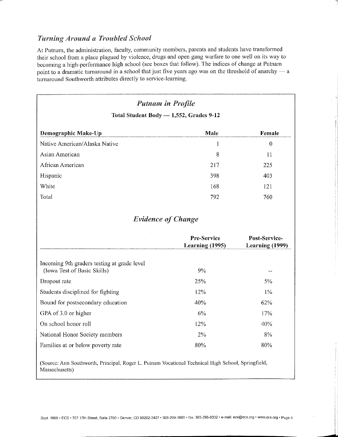### *Turning Around a Troubled School*

At Putnam, the administration, faculty, community members, parents and students have transformed their school from a place plagued by violence, drugs and open gang warfare to one well on its way to becoming a high-performance high school (see boxes that follow). The indices of change at Putnam point to a dramatic turnaround in a school that just five years ago was on the threshold of anarchy  $-$  a turnaround Southworth attributes directly to service-learning.

| <b>Putnam in Profile</b><br>Total Student Body - 1,552, Grades 9-12        |                                       |                                  |
|----------------------------------------------------------------------------|---------------------------------------|----------------------------------|
|                                                                            |                                       |                                  |
| Native American/Alaska Native                                              | 1                                     | $\theta$                         |
| Asian American                                                             | 8                                     | $\prod$                          |
| African American                                                           | 217                                   | 225                              |
| Hispanic                                                                   | 398                                   | 403                              |
| White                                                                      | 168                                   | 121                              |
| Total                                                                      | 792                                   | 760                              |
|                                                                            | <b>Evidence of Change</b>             |                                  |
|                                                                            | Pre-Service<br><b>Learning (1995)</b> | Post-Service-<br>Learning (1999) |
| Incoming 9th graders testing at grade level<br>(Iowa Test of Basic Skills) | 9%                                    | $\ddotsc$                        |
| Dropout rate                                                               | 25%                                   | 5%                               |
| Students disciplined for fighting                                          | 12%                                   | 1%                               |
| Bound for postsecondary education                                          | 40%                                   | 62%                              |
| GPA of 3.0 or higher                                                       | 6%                                    | 17%                              |
|                                                                            | 12%                                   | 40%                              |
| On school honor roll                                                       |                                       |                                  |
| National Honor Society members                                             | 2%                                    | 8%                               |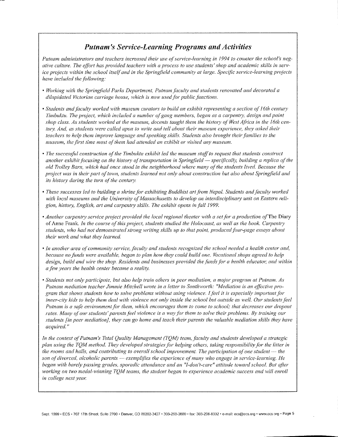# *Putnam's Service-Learning Programs and Activities*

*Putnam administrators and teachers increased their use of service-learning in 1994 to counter the school's neg*ative culture. The effort has provided teachers with a process to use students' shop and academic skills in serv*ice projects within the school itself and in the Springfield community at large. Specific service-learning projects have included the following:* 

- Working with the Springfield Parks Department, Putnam faculty and students renovated and decorated a *dilapidated Victorian carriage house, which is now used for public functions.*
- *Students and faculty worked with museum curators to build an exhibit representing a section of 16th century Timbuktu. The project, which included a number of gang members, began as a carpentry, design and paint* shop class. As students worked at the museum, docents taught them the history of West Africa in the 16th cen*tury. And, as students were called upon to write and tell about their museum experience, they asked their teachers to help them improve language and speaking skills. Students also brought their families to the rnuseum, the first time most of them had attended an exhibit or visited any museum.*
- The successful construction of the Timbuktu exhibit led the museum staff to request that students construct *another exhibit focusing on the history of transportation in Springfield — specifically, building a replica of the old Trolley Barn, which had once stood in the neighborhood where many qf'the students lived. Because the project was in their part of town, students learned not only about construction but also about Springfield and its history during the turn of the century.*
- These successes led to building a shrine for exhibiting Buddhist art from Nepal. Students and faculty worked with local museums and the University of Massachusetts to develop an interdisciplinary unit on Eastern religion, history, English, art and carpentry skills. The exhibit opens in fall 1999.
- *Another carpentry service project provided the local regional theater with a set for a production of* The Diary of Anne Frank. *In the course of this project, students studied the Holocaust, as well as the book. Carpentry students, who had not demonstrated strong writing skills up to that point, producedfbur-page essays about their work and what they learned.*
- In another area of community service, faculty and students recognized the school needed a health center and, *because no funds were available, began to plan how they could build one. Vocational shops agreed to help* design, build and wire the shop. Residents and businesses provided the funds for a health educator, and within *a few years the health center became a reality.*
- *Students not only participate, but also help train others in peer mediation, a major program at Putnam. As Putnam mediation teacher Jimmie Mitchell wrote in a letter to Southworth: "Mediation is an effective program that shows students how to solve problems without using violence. I feel it is especially important for inner-city kids to help them deal with violence not only inside the school but outside as well. Our students feel Putnam is a safe environment for them, which encourages them to come to school; that decreases our dropout rates. Many of our students' parents feel violence is a way for them to solve their problems. By training our students fin peer mediation], they can go home and teach their parents the valuable mediation skills they have acquired.*"

*In the context of Putnam's Total Quality Management (TQM) team, faculty and students developed a strategic plan using the TQlV! method. They developed strategies.fbr helping others, taking responsibility for the litter in the rooms and halls, and contributing to overall school improvement. The participation of one student*—the *son of divorced, alcoholic parents -- exemplifies the experience of many who engage in service-learning. He began with barely passing grades, sporadic attendance and an "I-don't-care" attitude toward school. But after working on two medal-winning TQM teams, the student began to experience academic success and will enroll in college next yew:*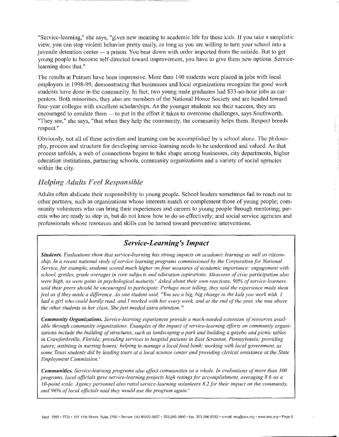"Service-learning," she says, "gives new meaning to academic life for these kids. If you take a simplistic view, you can stop violent behavior pretty easily, as long as you arc willing to turn your school into a juvenile detention center — a prison. You bear down with order imported from the outside. But to get young people to become self-directed toward improvement, you have to give them new options. Servicelearning does that."

The results at Putnam have been impressive. More than 140 students were placed in jobs with local employers in 1998-99, demonstrating that businesses and local organizations recognize the good work students have done in the community. In fact, two young male graduates had \$33-an-hour jobs as carpenters. Both minorities, they also are members of the National Honor Society and are headed toward four-year colleges with excellent scholarships. As the younger students see their success, they are encouraged to emulate them $-$  to put in the effort it takes to overcome challenges, says Southworth. "They sec," she says, "that when they help the community, the community helps them. Respect breeds respect."

Obviously, not all of these activities and learning can be accomplished by a school alone. The philosophy, process and structure for developing service-learning needs to be understood and valued. As that process unfolds, a web of connections begins to take shape among businesses, city departments, higher education institutions, partnering schools, community organizations and a variety of social agencies within the city.

### *Helping Adults Feel Responsible*

Adults often abdicate their responsibility to young people. School leaders sometimes fail to reach out to other partners, such as organizations whose interests match or complement those of young people; community volunteers who can bring their experiences and careers to young people through mentoring; parents who arc ready to step in, but do not know how to do so effectively; and social service agencies and professionals whose resources and skills can be turned toward preventive interventions.

# *Service-Learning's Impact*

*Students. Evaluations show that service-learning has strong impacts on acadernic learning as well as citizenship. In a recent national study of service-learning programs commissioned by the Corporation for National Service, for example, students scored much higher on four measures of academic importance: engagement with school, grades, grade averages in core subjects and education aspirations. Measures of civic participation also were high, as were gains in psychological maturity.' Asked about their own reactions, 90% of service-learners said their peers should be encouraged to participate. Perhaps most telling, they said the experience made them feel as if they made a difference. As one student said, "You see a big, big change in the kids you work with. I had a girl who could hardly read, and l worked with her evety week, and at the end of the yem; she was above the other students in her class. She just needed extra attention. "2* 

*Community Organizations. Service-learning experiences provide a much-needed extension of resources available through community organizations. Examples of the impact of service-learning efforts on community organi*zations include the building of structures, such as landscaping a park and building a gazebo and picnic tables *in Crawfordsville, Florida; providing services to hospital patients in East Scranton, Pennsylvania; providing tutors; assisting in nursing homes; helping to manage a local food bank; working with local government, as some Texas students did by leading tours at a local science center and providing clerical assistance at the State Employment Commission. 3* 

**Communities.** *Service-learning programs also affect communities as a whole. In evaluations of more than 300 programs, local (?fllcials gave service-learning prqjects high ratings for accomplishment, averaging 8. 6 on a 10-point scale. Agency personnel also rated service-learning volunteers 8.2.fbr their impact on the community, and 96% of local ojficials said they would use the program again. <sup>4</sup>*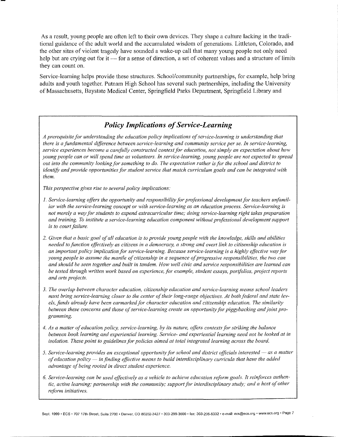As a result, young people are often left to their own devices. They shape a culture lacking in the traditional guidance of the adult world and the accumulated wisdom of generations. Littleton, Colorado, and the other sites of violent tragedy have sounded a wake-up call that many young people not only need help but are crying out for it - for a sense of direction, a set of coherent values and a structure of limits they can count on.

Service-learning helps provide these structures. School/community partnerships, for example, help bring adults and youth together. Putnam High School has several such partnerships, including the University of Massachusetts, Baystate Medical Center, Springfield Parks Department, Springfield Library and

# *Policy Implications of Service-Learning*

*A prerequisite for understanding the education policy implications ofservice-learning is understanding that there is a fundamental difference between service-learning and community service per se. In service-learning, service experiences become a carefully constructed context for education, not simply an expectation about how young people can or will .spend time as volunteers. In service-learning, young people are not expected to spread out into the cornmunity looking for something to do. The expectation rather is for the school and district to identify and provide opportunities for student service that match curriculum goals and can be integrated with them.* 

*This perspective gives rise to several policy implications:* 

- *1. Service-learning offers the opportunity and responsibility for professional development for teachers unfamiliar with the service-learning concept or with service-learning as an education process. Service-learning is not merely a way for students to expend extracurricular time; doing service-learning right takes preparation and training. To institute a service-learning education component without professional development support is to court failure.*
- *2. Given that a basic goal of all education is to provide young people with the knowledge, skills and abilities needed to jimction effectively as citizens in a democracy, a strong and overt link to citizenship education is an important policy implication for service-learning. Because service-learning is a highly effective way for young people to assume the mantle of citizenship in a sequence of progressive responsibilities, the two can and should be seen together and built in tandem. How well civic and service responsibilities are learned can be tested through written work based on experience, for example, student essays, portfolios, project reports and arts projects.*
- 3. The overlap between character education, citizenship education and service-learning means school leaders *must bring service-learning closer to the center of their long-range objectives. At both federal and state levels, funds already have been earmarked }Or character education and citizenship education. The similarity between these concerns and those of service-learning create an opportunity for piggybacking and joint programming.*
- *4. As a matter of education policy, service-learning, by its nature, offers contexts for striking the balance between book learning and experiential learning. Service- and experiential learning need not be looked at in isolation. These point to guidelines for policies aimed at total integrated learning across the board.*
- 5. Service-learning provides an exceptional opportunity for school and district officials interested as a matter *q{education policy- in finding effective means to build interdisciplinmy curricula that have the added advantage of being rooted in direct student experience.*
- 6. Service-learning can be used effectively as a vehicle to achieve education reform goals. It reinforces authen*tic, active learning; partnership with the community; support for interdisciplinary study; and a host of other reforrn initiatives.*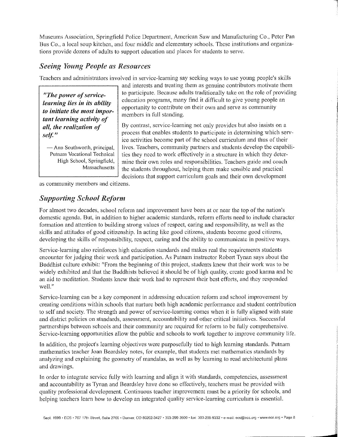Museums Association, Springfield Police Department, American Saw and Manufacturing Co., Peter Pan Bus Co., a local soup kitchen, and four middle and elementary schools. These institutions and organizations provide dozens of adults to support education and places for students to serve.

### *Seeing Young People as Resources*

Teachers and administrators involved in service-learning say seeking ways to use young people's skills

*"The power of serviceteaming lies in its ability to initiate the most important learning activity of all, the realization of self:"* 

**---Ann Southworth, principal, Putnam Vocational Technical**  High School, Springfield, **Massachusetts**  **and interests and treating them as genuine contributors motivate them**  to participate. Because adults traditionally take on the role of providing education programs, many find it difficult to give young people an opportunity to contribute on their own and serve as community members in full standing.

By contrast, service-learning not only provides but also insists on a process that enables students to participate in determining which service activities become part of the school curriculum and thus of their lives. Teachers, community partners and students develop the capabilities they need to work effectively in a structure in which they determine their own roles and responsibilities. Teachers guide and coach the students throughout, helping them make sensible and practical decisions that support curriculum goals and their own development

as community members and citizens.

### *Supporting School Reform*

For almost two decades, school reform and improvement have been at or near the top of the nation's domestic agenda. But, in addition to higher academic standards, reform efforts need to include character formation and attention to building strong values of respect, caring and responsibility, as well as the skills and attitudes of good citizenship. In acting like good citizens, students become good citizens, developing the skills of responsibility, respect, caring and the ability to communicate in positive ways.

Service-learning also reintorces high education standards and makes real the requirements students encounter tor judging their work and participation. As Putnam instructor Robert Tynan says about the Buddhist culture exhibit: "From the beginning of this project, students knew that their work was to be widely exhibited and that the Buddhists believed it should be of high quality, create good karma and be an aid to meditation. Students knew their work had to represent their best efforts, and they responded **well."** 

Service-learning can be a key component in addressing education reform and school improvement by creating conditions within schools that nurture both high academic performance and student contribution to self and society. The strength and power of service-learning comes when it is fully aligned with state and district policies on standards, assessment, accountability and other critical initiatives. Successful partnerships between schools and their community are required for reform to be fully comprehensive. Service-learning opportunities allow the public and schools to work together to improve community life.

In addition, the project's learning objectives were purposefully tied to high learning standards. Putnam mathematics teacher Joan Beardsley notes, for example, that students met mathematics standards by analyzing and explaining the geometry of mandalas, as well as by learning to read architectural plans and drawings.

In order to integrate service fully with learning and align it with standards, competencies, assessment and accountability as Tynan and Beardsley have done so effectively, teachers must be provided with quality professional development. Continuous teacher improvement must be a priority for schools, and helping teachers learn how to develop an integrated quality service-learning curriculum is essential.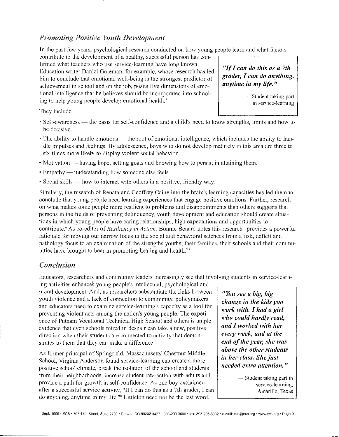# *Promoting Positive Youth Development*

In the past few years, psychological research conducted on how young people learn and what factors

contribute to the development of a healthy, successful person has confirmed what teachers who usc service-learning have long known. Education writer Daniel Goleman, for example, whose research bas led him to conclude that emotional well-being is the strongest predictor of achievement in school and on the job, posits five dimensions of emotional intelligence that he believes should be incorporated into schooling to help young people develop emotional health.'

"If *I can do this as a 7th grader, I can do anything, anytime in my life."* 

> - Student taking part in service-learning

They include:

- Self-awareness the basis for self-confidence and a child's need to know strengths, limits and how to be decisive.
- The ability to handle emotions the root of emotional intelligence, which includes the ability to handle impulses and feelings. By adolescence, boys who do not develop maturely in this area are three to six times more likely to display violent social behavior.
- Motivation having hope, setting goals and knowing how to persist in attaining them.
- Empathy understanding how someone else feels.
- Social skills  $-$  how to interact with others in a positive, friendly way.

Similarly, the research of Renata and Geoffrey Caine into the brain's learning capacities has led them to conclude that young people need learning experiences that engage positive emotions. Further, research on what makes some people more resilient to problems and disappointments than others suggests that persons in the fields of preventing delinquency, youth development and education should create situations in which young people have caring relationships, high expectations and opportunities to contribute.'' As co-editor of *Resiliency in Action,* Bonnie Benard notes this research "provides a powerful rationale for moving our narrow focus in the social and behavioral sciences from a risk, deficit and pathology focus to an examination of the strengths youths, their families, their schools and their communities have brought to bear in promoting healing and health."'

### *Conclusion*

Educators, researchers and community leaders increasingly see that involving students in service-learn-

ing activities enhances young people's intellectual, psychological and moral development. And, as researchers substantiate the links between youth violence and a lack of connection to community, policymakers and educators need to examine service-learning's capacity as a tool for preventing violent acts among the nation's young people. The experience of Putnam Vocational Technical High School and others is ample evidence that even schools mired in despair can take a new, positive direction when their students are connected to activity that demonstrates to them that they can make a difference.

As former principal of Springfield, Massachusetts' Chestnut Middle School, Virginia Anderson found service-learning can create a more positive school climate, break the isolation of the school and students from their neighborhoods, increase student interaction with adults and provide a path for growth in self-confidence. As one boy exclaimed after a successful service activity, "If I can do this as a 7th grader, I can do anything, anytime in my life."' Littleton need not be the last word.

*"You see a big, big change in the kids you work with. I had a girl who could hardly read, and I worked with her every week, and at the end of the year, she was above the other students in her class. She fust needed extra attention.* "

> -Student taking part in service-learning, Amarillo, Texas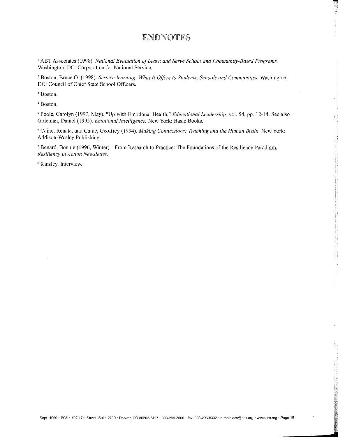# **ENDNOTES**

-

J

<sup>1</sup> ABT Associates (1998). *National Evaluation of Learn and Serve School and Community-Based Programs.* Washington, DC: Corporation for National Service.

<sup>2</sup> Boston, Bruce O. (1998). *Service-learning: What It Offers to Students, Schools and Communities.* Washington, DC: Council of Chief State School Officers.

<sup>3</sup> Boston.

'1 Boston.

<sup>5</sup> Poole, Carolyn (1997, May). "Up with Emotional Health," *Educational Leadership*, vol. 54, pp. 12-14. See also Goleman, Daniel (1995). *Emotional Intelligence.* New York: Basic Books.

*r.* Caine, Renata, and Caine, Geoffrey (1994). *Nfaking Connections: Teaching and the Human Brain.* New York: Addison-Wesley Publishing.

<sup>7</sup> Benard, Bonnie (1996, Winter). "From Research to Practice: The Foundations of the Resiliency Paradigm," *Resiliency in Action Newsletter.* 

s Kinsley, Interview.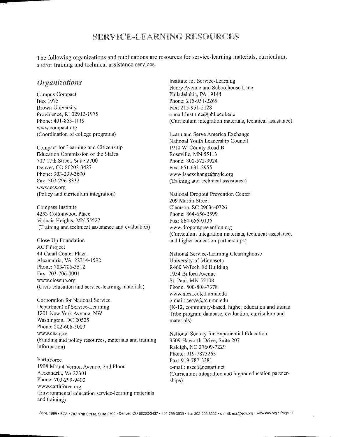# SERVICE-LEARNING RESOURCES

The following organizations and publications are resources for service-learning materials, curriculum, and/or training and technical assistance services.

### *Organizations*

Campus Compact Box 1975 Brown University Providence, RI 02912-1975 Phone: 401-863-1119 www.compact.org (Coordination of college programs)

Compact for Learning and Citizenship Education Commission of the States 707 17th Street, Suite 2700 Denver, CO 80202-3427 Phone: 303-299-3600 Fax: 303-296-8332 www.ccs.org (Policy and curriculum integration)

Compass Institute 4253 Cottonwood Place Vadnais Heights, MN 55527 (Training and technical assistance and evaluation)

Close~ Up Foundation ACT Project 44 Canal Center Plaza Alexandria, VA 22314-1592 Phone: 703-706-3512 Fax: 703-706-0001 www.closeup.org (Civic education and service-learning materials)

Corporation for National Service Department of Service-Learning 1201 New York Avenue, NW Washington, DC 20525 Phone: 202-606-5000 www.cns.gov (Funding and policy resources, materials and training information)

**Earth Force** t 908 Mount Vernon Avenue, 2nd Floor Alexandria, VA 22301 Phone: 703-299-9400 www.earthforce.org (Environmental education service-learning materials and training)

Institute for Service-Learning Henry Avenue and Schoolhouse Lane Philadelphia, PA 19144 Phone: 215-951-2269 Fax: 215-951-2128 e-mail: Institute@philacol.edu (Curriculum integration materials, technical assistance)

Learn and Serve America Exchange National Youth Leadership Council 1910 W. County Road B Roseville, MN 55113 Phone: 800-572-3924 Fax: 651-631-2955 www:lsaexchange@nylc.org (Training and technical assistance)

National Dropout Prevention Center 209 Martin Street Clemson, SC 29634-0726 Phone: 864-656-2599 Fax: 864-656-0136 www.dropoutprevention.org (Curriculum integration materials, technical assistance, and higher education partnerships)

National Service-Learning Clearinghouse University of Minnesota R460 Yo Tech Ed Building 1954 Buford Avenue St. Paul, MN 55108 Phone: 800-808-7378 www.nicsl.coled.umn.edu e-mail: serve@tc.umn.edu (K-12, community-based, higher education and Indian Tribe program database, evaluation, curriculum and materials)

National Society for Experiential Education 3509 Haworth Drive, Suite 207 Raleigh, NC 27609-7229 Phone: 919-7873263 Fax: 919-787-3381 e-mail: nsee@nestart.net (Curriculum integration and higher education partnerships)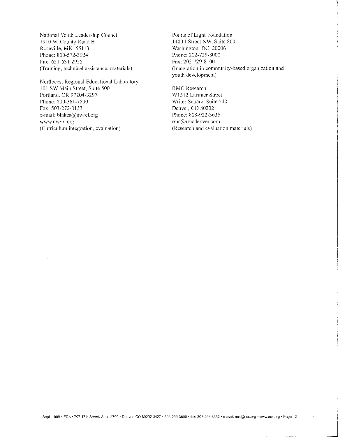National Youth Leadership Council 1910 W County Road B Roseville, MN 55llJ Phone: 800-572-3924 Fax: 651-631-2955 (Training, technical assistance, materials)

Northwest Regional Educational Laboratory 101 SW Main Street, Suite 500 Portland, OR 97204-3297 Phone: 800-361-7890 Fax: 503-272-0133 e-mail: blakca(@nwrel.org www.nwrel.org (Curriculum integration, evaluation)

Points of Light Foundation 1400 I Street NW, Suite 800 Washington, DC 20006 Phone: 202-729-8000 Fax: 202-729-8100 (Integration in community-based organization and youth development)

RMC Research W 1512 Larimer Street Writer Square, Suite 540 Denver, CO 80202 Phone: 808-922-3636  $rmc@m$ cdenver.com (Research and evaluation materials)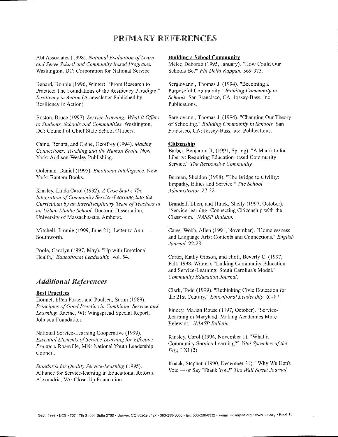# PRIMARY REFERENCES

Abt Associates ( 1998). *National Evaluation of Learn and Serve School and Cornmunity Based Programs.*  Washington, DC: Corporation for National Service.

Benard, Bonnie (1996, Winter). "From Research to Practice: The Foundations of the Resiliency Paradigm." *Resiliency in Action* (A newsletter Published by Resiliency in Action).

Boston, Bruce (1997). *Service-learning: What It Officrs*  to Students, Schools and Communities. Washington, DC: Council of Chief State School Officers.

Caine, Renata, and Caine, Geoffrey ( 1994 ). *Making Connections: Teaching and the f!uman Brain.* New York: Addison-Wesley Publishing.

Goleman, Daniel (1995). *Emotional Intelligence.* New York: Bantam Books.

Kinsley, Linda Carol ( 1992). *A Case Study. The Integration of Community Service-Learning into the Curriculum by an Interdisciplinary Team of Teachers at an Urban Middle School.* Doctoral Dissertation, University of Massachusetts, Amherst.

Mitchell, Jimmie (1999, June 21). Letter to Ann Southworth.

Poole, Carolyn (1997, May). "Up with Emotional Health," *Educational Leadership,* vol. 54.

### *Additional References*

### **Best Practices**

Honnet, Ellen Porter, and Poulsen, Susan ( 1989). *Principles of Good Practice in Combining Service and Learning.* Racine, WI: Wingspread Special Report, Johnson Foundation.

National Service-Learning Cooperative ( 1999). *Essential Elements of Service-Learning for Effective Practice.* Roseville, MN: National Youth Leadership Council.

*Standards for Quality Service-Learning* ( 1995). Alliance for Service-learning in Educational Reform. Alexandria, VA: Close-Up Foundation.

### Building a School Community

Meier, Deborah (1995, January). "How Could Our Schools Be?" *Phi Delta Kappan,* 369-373.

Sergiovanni, Thomas J. (1994). "Becoming a Purposeful Community." *Building Community in Schools.* San Francisco, CA: Jossey-Bass, Inc. Publications.

Sergiovanni, Thomas J. (1994). "Changing Our Theory of Schooling." *Building Community in Schools.* San Francisco, CA: Jossey-Bass, Inc. Publications.

#### **Citizenship**

Barber, Benjamin R. ( 1991, Spring). "A Mandate for Liberty: Requiring Education-based Community Service." The Responsive Community.

Berman, Sheldon (1998). "The Bridge to Civility: Empathy, Ethics and Service." The School *Administratm;* 27-32.

Brandell, Ellen, and Hinck, Shelly (1997, October). "Service-learning: Connecting Citizenship with the Classroom." *NASSP Bulletin.* 

Carey-Webb, Allen (1991, November). "Homelessness and Language Arts: Contexts and Connections." *English Journal,* 22-28.

Carter, Kathy Gibson, and Hiott, Beverly C. ( 1997, Fall; 1998, Winter). "Linking Community Education and Service-Learning: South Carolina's Model."  $Commuty$  *Education Journal.* 

Clark, Todd ( 1999). "Rethinking Civic Education for the 21st Century." *Educational Leadership,* 65-87.

Finney, Marian Rouse (1997, October). "Service-Learning in Maryland: Making Academics More Relevant." *NAASP Bulletin.* 

Kinsley, Carol (1994, November I). "What is Community Service-Learning?" *Vital Speeches of the Day,* LXI (2).

Knack, Stephen (1990, December 31). "Why We Don't Vote -- or Say 'Thank You.'" *The Wall Street Journal.*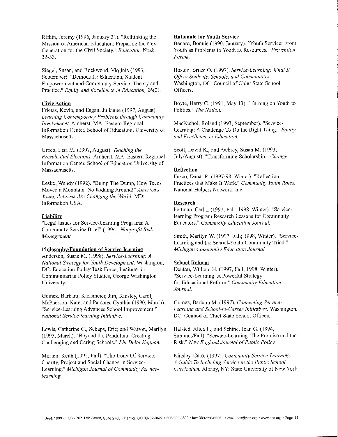Rifkin, Jeremy (1996, January 31). "Rethinking the Mission of American Education: Preparing the Next Generation for the Civil Society." *Education Week,*  32-33.

Siegel, Susan, and Rockwood, Virginia (1993, September). "Democratic Education, Student Empowerment and Community Service: Theory and Practice." *Equity and Excellence in Education,* 26(2).

### Civic Action

Frietas, Kevin, and Eagan, Julianne (1997, August). Learning Contemporary Problems through Community *Involvement.* Amherst, MA: Eastern Regional Information Center, School of Education, University of Massachusetts.

Greco, Lisa M. (1997, August). *Teaching the Presidential Elections.* Amherst, MA: Eastern Regional Information Center, School of Education University of Massachusetts.

Lesko, Wendy (1992). "Bump The Dump, How Teens Moved a Mountain. No Kidding Around!" America's *Young Activists Are Changing the World.* MD: Information USA.

### Liability

"Legal Issues for Service-Learning Programs: A Community Service Brief' (1994). *Nonprofit Risk Management.* 

#### Philosophy/Foundation of Service-learning

Anderson, Susan M. (1998). *Service-Learning: A National Strategy for Youth Development*. Washington, DC: Education Policy Task Force, Institute for Communitarian Policy Studies, George Washington University.

Gomez, Barbara; Kielsmeier, Jim; Kinsley, Carol; McPherson, Kate; and Parsons, Cynthia (1990, March). "Service-Learning Advances School Improvement." *National Service-learning Initiative.* 

Lewis, Catherine C.; Schaps, Eric; and Watson, Marilyn (1995, March). "Beyond the Pendulum: Creating Challenging and Caring Schools." *Phi Delta Kappan.* 

Morton, Keith (1995, Fall). "The Irony Of Service: Charity, Project and Social Change in Service-Learning." *Michigan Journal of Community Servicelearning.* 

### Rationale for Youth Service

Benard, Bonnie (1990, January). "Youth Service: From Youth as Problems to Youth as Resources.<sup>"</sup> *Prevention Forum.* 

Boston, Bruce 0. (1997). *Service-Learning: What It*  Offers Students, Schools, and Communities. Washington, DC: Council of Chief State School Officers.

Boyte, Harry C. (1991, May 13). "Turning on Youth to Politics." *The Nation.* 

MacNichol, Roland (1993, September). "Service-Learning: A Challenge To Do the Right Thing." *Equity and Excellence in Education.* 

Scott, David K., and Awbrey, Susan M. (1993, July/August). "Transforming Scholarship." Change.

### **Reflection**

Fusco, Dana R. (1997-98, Winter). "Reflection: Practices that Make It Work." Community Youth Roles. National Helpers Network, lnc.

#### Research

Fertman, Carl I. (1997, Fall; 1998, Winter). "Servicelearning Program Research Lessons for Community Educators." Community Education Journal.

Smith, Marilyn W. ( 1997, Fall; 1998, Winter). "Service-Learning and the School-Youth Community Triad." *Michigan Community Education Journal.* 

### School Reform

Denton, William H. (1997, Fall; 1998, Winter). "Service-Learning: A Powerful Strategy for Educational Reform." Community Education *Journal.* 

Gomez, Barbara M. (1997). *Connecting Service-Learning and School-to-Career Initiatives.* Washington, DC: Council of Chief State School Officers.

Halsted, Alice L., and Schine, Joan G. (1994, Summer/Fall). "Service-Learning: The Promise and the Risk." *New England Journal of Public Policy.* 

Kinsley, Carol ( 1997). *Community Service-Learning: A Guide To Including Service in the Public School Curriculum.* Albany, NY: State University of New York.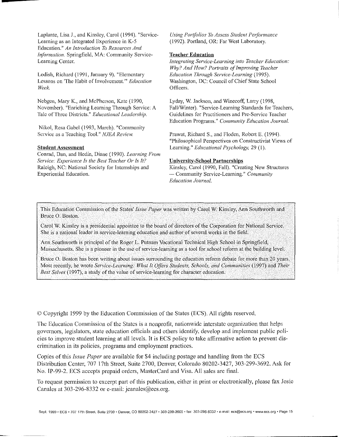Laplante, Lisa J., and Kinsley, Carol (1994). "Service-Learning as an Integrated Experience in K-5 Education." *An Introduction 10 Resources And Information.* Springfield, MA: Community Service-Learning Center.

Lodish, Richard ( 1991, January 9). "Elementary Lessons on "The Habit of Involvement." *Education Week.* 

Ncbgen, Mary K., and McPherson, Kate ( 1990, November). "Enriching Learning Through Service: A Talc of Three Districts.!! *Educational Leadership.* 

Nikol, Resa Gabel (1993, March). "Community Service as a Teaching Tool." *NJEA Review.* 

### Student Assessment

Conrad, Dan, and Hedin, Diane (1990). *Learning From 5'ervice: LXperience Is the Best Teacher Or Is It?*  Raleigh, NC: National Society for Internships and Experiential Education.

Using Portfolios To Assess Student Performance ( 1992). Portland, OR: Far West Laboratory.

### **Teacher Education**

*Integrating Service-Learning into Teacher Education: Why? And How? Portraits of Improving Teacher Education Through Service-Learning* (1995). Washington, DC: Council of Chief State School Officers.

Lyday, W. Jackson, and Winecoff, Larry ( 1998, Fall/Winter). "Service-Learning Standards for Teachers, Guidelines for Practitioners and Pre-Service Teacher Education Programs." Community Education Journal.

Prawat, Richard S., and Floden, Robert E. (1994). "Philosophical Perspectives on Constructivist Views of Learning." *Educational Psychology*, 29 (1).

### **University-School Partnerships**

Kinsley, Carol (1990, Fall). "Creating New Structures -- Community Service-Learning.'' *Community Education Journal.* 

This Education Commission of the States' *Issue Paper* was written by Carol W. Kinsley, Ann Southworth and Bruce 0. Boston.

Carol W. Kinsley is a presidential appointee to the board of directors of the Corporation for National Service. She is a national leader in service-learning education and author of several works in the field.

Ann Southworth is principal of the Roger L. Putnam Vocational Technical High School in Springfield, Massachusetts. She is a pioneer in the use of service-learning as a tool for school reform at the building level.

Bruce O. Boston has been writing about issues surrounding the education reform debate for more than 20 years. Most recently, he wrote *Service-Learning: What It Offers Students, Schools, and Communities* (1997).and *Their Best Selves* (1997), a study of the value of service-learning for character education.

© Copyright 1999 by the Education Commission of the States (ECS). All rights reserved.

The Education Commission of the States is a nonprofit, nationwide interstate organization that helps governors, legislators, state education officials and others identify, develop and implement public policies to improve student learning at all levels. It is ECS policy to take affirmative action to prevent discrimination in its policies, programs and employment practices.

Copies of this *Issue Paper* are available for \$4 including postage and handling from the ECS Distribution Center, 707 17th Street, Suite 2700, Denver, Colorado 80202-3427, 303-299-3692. Ask for No. IP-99-2. ECS accepts prepaid orders, MasterCard and Visa. All sales are final.

To request permission to excerpt part of this publication, either in print or electronically, please fax Josie Canales at 303-296-8332 or e-mail: jeanales@ecs.org.